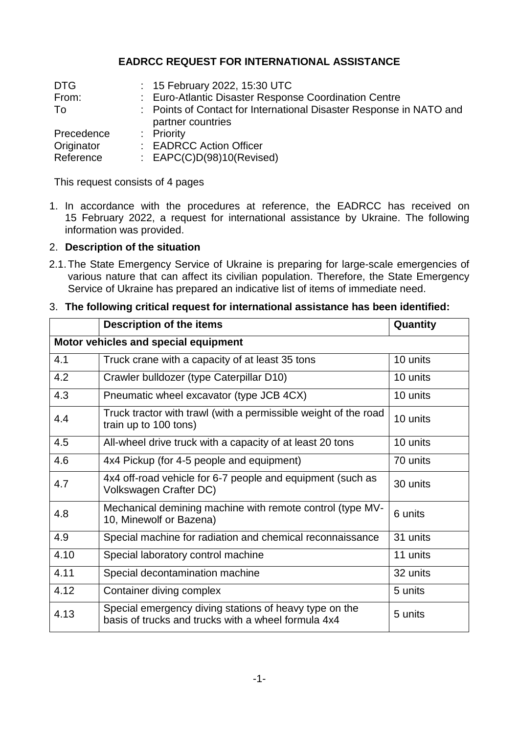# **EADRCC REQUEST FOR INTERNATIONAL ASSISTANCE**

| <b>DTG</b> | : 15 February 2022, 15:30 UTC                                                            |
|------------|------------------------------------------------------------------------------------------|
| From:      | : Euro-Atlantic Disaster Response Coordination Centre                                    |
| To         | : Points of Contact for International Disaster Response in NATO and<br>partner countries |
| Precedence | : Priority                                                                               |
| Originator | : EADRCC Action Officer                                                                  |
| Reference  | : $EAPC(C)D(98)10(Revised)$                                                              |

This request consists of 4 pages

1. In accordance with the procedures at reference, the EADRCC has received on 15 February 2022, a request for international assistance by Ukraine. The following information was provided.

## 2. **Description of the situation**

2.1.The State Emergency Service of Ukraine is preparing for large-scale emergencies of various nature that can affect its civilian population. Therefore, the State Emergency Service of Ukraine has prepared an indicative list of items of immediate need.

|                                      | <b>Description of the items</b>                                                                               | Quantity |  |  |
|--------------------------------------|---------------------------------------------------------------------------------------------------------------|----------|--|--|
| Motor vehicles and special equipment |                                                                                                               |          |  |  |
| 4.1                                  | Truck crane with a capacity of at least 35 tons                                                               | 10 units |  |  |
| 4.2                                  | Crawler bulldozer (type Caterpillar D10)                                                                      | 10 units |  |  |
| 4.3                                  | Pneumatic wheel excavator (type JCB 4CX)                                                                      | 10 units |  |  |
| 4.4                                  | Truck tractor with trawl (with a permissible weight of the road<br>train up to 100 tons)                      | 10 units |  |  |
| 4.5                                  | All-wheel drive truck with a capacity of at least 20 tons                                                     | 10 units |  |  |
| 4.6                                  | 4x4 Pickup (for 4-5 people and equipment)                                                                     | 70 units |  |  |
| 4.7                                  | 4x4 off-road vehicle for 6-7 people and equipment (such as<br>Volkswagen Crafter DC)                          | 30 units |  |  |
| 4.8                                  | Mechanical demining machine with remote control (type MV-<br>10, Minewolf or Bazena)                          | 6 units  |  |  |
| 4.9                                  | Special machine for radiation and chemical reconnaissance                                                     | 31 units |  |  |
| 4.10                                 | Special laboratory control machine                                                                            | 11 units |  |  |
| 4.11                                 | Special decontamination machine                                                                               | 32 units |  |  |
| 4.12                                 | Container diving complex                                                                                      | 5 units  |  |  |
| 4.13                                 | Special emergency diving stations of heavy type on the<br>basis of trucks and trucks with a wheel formula 4x4 | 5 units  |  |  |

### 3. **The following critical request for international assistance has been identified:**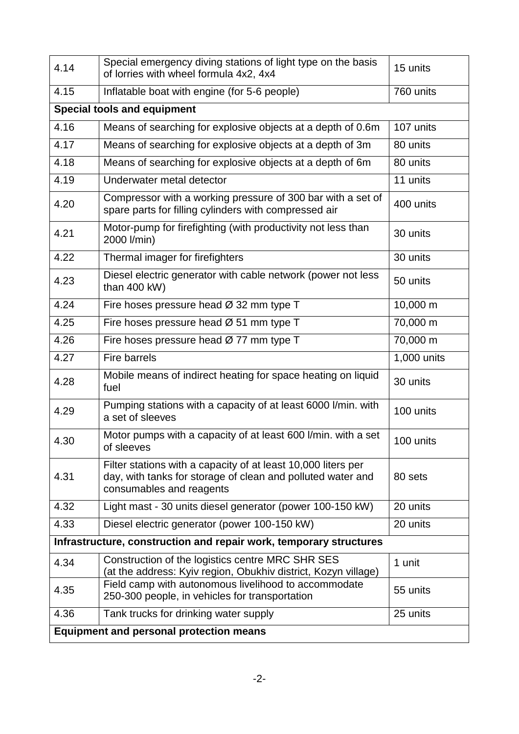| 4.14                                                               | Special emergency diving stations of light type on the basis<br>of lorries with wheel formula 4x2, 4x4                                                   | 15 units    |  |
|--------------------------------------------------------------------|----------------------------------------------------------------------------------------------------------------------------------------------------------|-------------|--|
| 4.15                                                               | Inflatable boat with engine (for 5-6 people)                                                                                                             | 760 units   |  |
| <b>Special tools and equipment</b>                                 |                                                                                                                                                          |             |  |
| 4.16                                                               | Means of searching for explosive objects at a depth of 0.6m                                                                                              | 107 units   |  |
| 4.17                                                               | Means of searching for explosive objects at a depth of 3m                                                                                                | 80 units    |  |
| 4.18                                                               | Means of searching for explosive objects at a depth of 6m                                                                                                | 80 units    |  |
| 4.19                                                               | Underwater metal detector                                                                                                                                | 11 units    |  |
| 4.20                                                               | Compressor with a working pressure of 300 bar with a set of<br>spare parts for filling cylinders with compressed air                                     | 400 units   |  |
| 4.21                                                               | Motor-pump for firefighting (with productivity not less than<br>2000 l/min)                                                                              | 30 units    |  |
| 4.22                                                               | Thermal imager for firefighters                                                                                                                          | 30 units    |  |
| 4.23                                                               | Diesel electric generator with cable network (power not less<br>than 400 kW)                                                                             | 50 units    |  |
| 4.24                                                               | Fire hoses pressure head Ø 32 mm type T                                                                                                                  | 10,000 m    |  |
| 4.25                                                               | Fire hoses pressure head $\varnothing$ 51 mm type T                                                                                                      | 70,000 m    |  |
| 4.26                                                               | Fire hoses pressure head $\varnothing$ 77 mm type T                                                                                                      | 70,000 m    |  |
| 4.27                                                               | <b>Fire barrels</b>                                                                                                                                      | 1,000 units |  |
| 4.28                                                               | Mobile means of indirect heating for space heating on liquid<br>fuel                                                                                     | 30 units    |  |
| 4.29                                                               | Pumping stations with a capacity of at least 6000 l/min. with<br>a set of sleeves                                                                        | 100 units   |  |
| 4.30                                                               | Motor pumps with a capacity of at least 600 I/min. with a set<br>of sleeves                                                                              | 100 units   |  |
| 4.31                                                               | Filter stations with a capacity of at least 10,000 liters per<br>day, with tanks for storage of clean and polluted water and<br>consumables and reagents | 80 sets     |  |
| 4.32                                                               | Light mast - 30 units diesel generator (power 100-150 kW)                                                                                                | 20 units    |  |
| 4.33                                                               | Diesel electric generator (power 100-150 kW)                                                                                                             | 20 units    |  |
| Infrastructure, construction and repair work, temporary structures |                                                                                                                                                          |             |  |
| 4.34                                                               | Construction of the logistics centre MRC SHR SES<br>(at the address: Kyiv region, Obukhiv district, Kozyn village)                                       | 1 unit      |  |
| 4.35                                                               | Field camp with autonomous livelihood to accommodate<br>250-300 people, in vehicles for transportation                                                   | 55 units    |  |
| 4.36                                                               | Tank trucks for drinking water supply                                                                                                                    | 25 units    |  |
| <b>Equipment and personal protection means</b>                     |                                                                                                                                                          |             |  |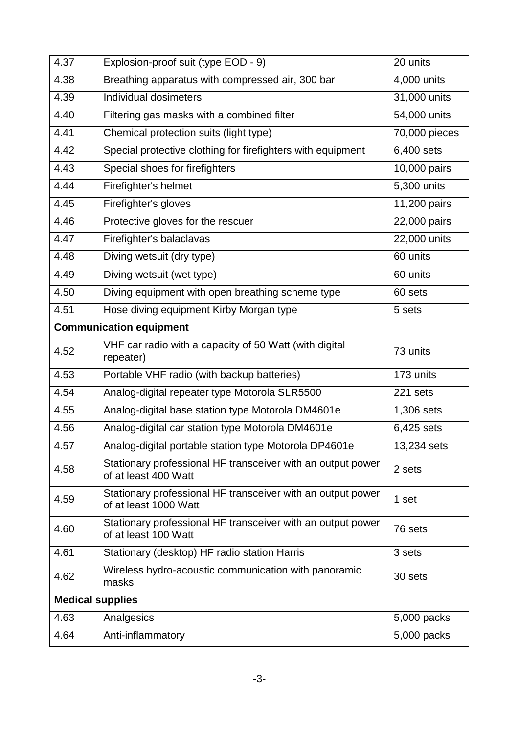| 4.37                    | Explosion-proof suit (type EOD - 9)                                                  | 20 units      |  |
|-------------------------|--------------------------------------------------------------------------------------|---------------|--|
| 4.38                    | Breathing apparatus with compressed air, 300 bar                                     | 4,000 units   |  |
| 4.39                    | Individual dosimeters                                                                | 31,000 units  |  |
| 4.40                    | Filtering gas masks with a combined filter                                           | 54,000 units  |  |
| 4.41                    | Chemical protection suits (light type)                                               | 70,000 pieces |  |
| 4.42                    | Special protective clothing for firefighters with equipment                          | 6,400 sets    |  |
| 4.43                    | Special shoes for firefighters                                                       | 10,000 pairs  |  |
| 4.44                    | Firefighter's helmet                                                                 | 5,300 units   |  |
| 4.45                    | Firefighter's gloves                                                                 | 11,200 pairs  |  |
| 4.46                    | Protective gloves for the rescuer                                                    | 22,000 pairs  |  |
| 4.47                    | Firefighter's balaclavas                                                             | 22,000 units  |  |
| 4.48                    | Diving wetsuit (dry type)                                                            | 60 units      |  |
| 4.49                    | Diving wetsuit (wet type)                                                            | 60 units      |  |
| 4.50                    | Diving equipment with open breathing scheme type                                     | 60 sets       |  |
| 4.51                    | Hose diving equipment Kirby Morgan type                                              | 5 sets        |  |
|                         | <b>Communication equipment</b>                                                       |               |  |
| 4.52                    | VHF car radio with a capacity of 50 Watt (with digital<br>repeater)                  | 73 units      |  |
| 4.53                    | Portable VHF radio (with backup batteries)                                           | 173 units     |  |
| 4.54                    | Analog-digital repeater type Motorola SLR5500                                        | 221 sets      |  |
| 4.55                    | Analog-digital base station type Motorola DM4601e                                    | 1,306 sets    |  |
| 4.56                    | Analog-digital car station type Motorola DM4601e                                     | 6,425 sets    |  |
| 4.57                    | Analog-digital portable station type Motorola DP4601e                                | 13,234 sets   |  |
| 4.58                    | Stationary professional HF transceiver with an output power<br>of at least 400 Watt  | 2 sets        |  |
| 4.59                    | Stationary professional HF transceiver with an output power<br>of at least 1000 Watt | 1 set         |  |
| 4.60                    | Stationary professional HF transceiver with an output power<br>of at least 100 Watt  | 76 sets       |  |
| 4.61                    | Stationary (desktop) HF radio station Harris                                         | 3 sets        |  |
| 4.62                    | Wireless hydro-acoustic communication with panoramic<br>masks                        | 30 sets       |  |
| <b>Medical supplies</b> |                                                                                      |               |  |
| 4.63                    | Analgesics                                                                           | 5,000 packs   |  |
| 4.64                    | Anti-inflammatory                                                                    | 5,000 packs   |  |